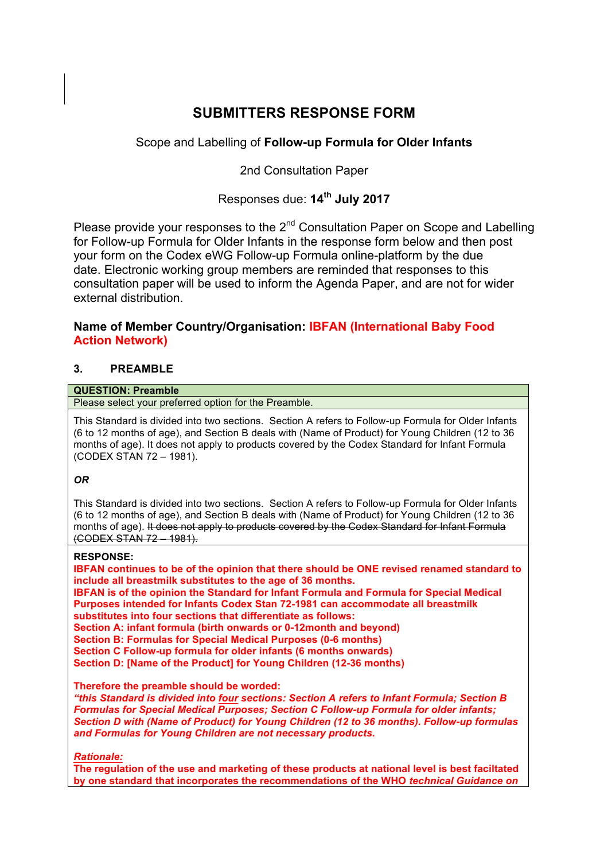# **SUBMITTERS RESPONSE FORM**

# Scope and Labelling of **Follow-up Formula for Older Infants**

2nd Consultation Paper

# Responses due: **14th July 2017**

Please provide your responses to the 2<sup>nd</sup> Consultation Paper on Scope and Labelling for Follow-up Formula for Older Infants in the response form below and then post your form on the Codex eWG Follow-up Formula online-platform by the due date. Electronic working group members are reminded that responses to this consultation paper will be used to inform the Agenda Paper, and are not for wider external distribution.

# **Name of Member Country/Organisation: IBFAN (International Baby Food Action Network)**

## **3. PREAMBLE**

## **QUESTION: Preamble**

Please select your preferred option for the Preamble.

This Standard is divided into two sections. Section A refers to Follow-up Formula for Older Infants (6 to 12 months of age), and Section B deals with (Name of Product) for Young Children (12 to 36 months of age). It does not apply to products covered by the Codex Standard for Infant Formula (CODEX STAN 72 – 1981).

## *OR*

This Standard is divided into two sections. Section A refers to Follow-up Formula for Older Infants (6 to 12 months of age), and Section B deals with (Name of Product) for Young Children (12 to 36 months of age). It does not apply to products covered by the Codex Standard for Infant Formula (CODEX STAN 72 – 1981).

## **RESPONSE:**

**IBFAN continues to be of the opinion that there should be ONE revised renamed standard to include all breastmilk substitutes to the age of 36 months. IBFAN is of the opinion the Standard for Infant Formula and Formula for Special Medical** 

**Purposes intended for Infants Codex Stan 72-1981 can accommodate all breastmilk substitutes into four sections that differentiate as follows:**

**Section A: infant formula (birth onwards or 0-12month and beyond)**

**Section B: Formulas for Special Medical Purposes (0-6 months) Section C Follow-up formula for older infants (6 months onwards)**

**Section D: [Name of the Product] for Young Children (12-36 months)**

**Therefore the preamble should be worded:**

*"this Standard is divided into four sections: Section A refers to Infant Formula; Section B Formulas for Special Medical Purposes; Section C Follow-up Formula for older infants; Section D with (Name of Product) for Young Children (12 to 36 months). Follow-up formulas and Formulas for Young Children are not necessary products.* 

*Rationale:*

**The regulation of the use and marketing of these products at national level is best faciltated by one standard that incorporates the recommendations of the WHO** *technical Guidance on*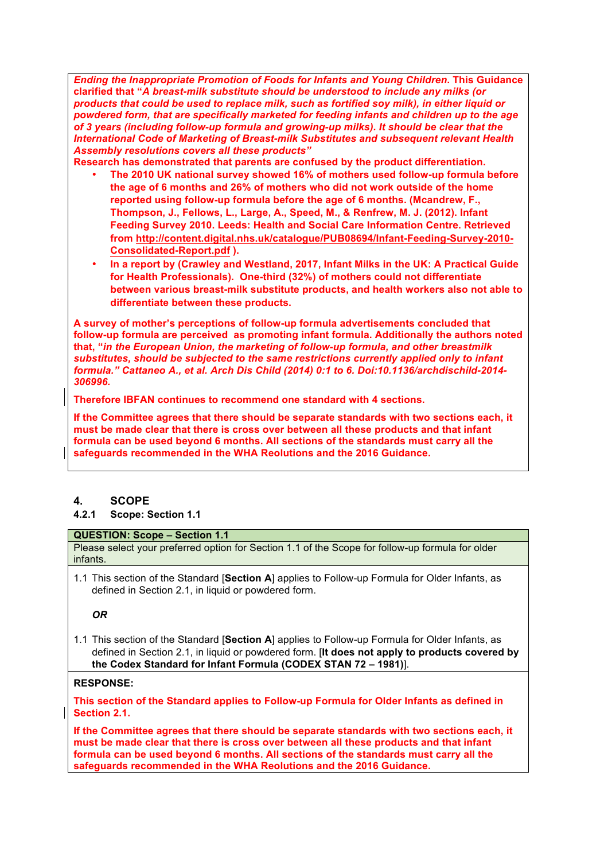*Ending the Inappropriate Promotion of Foods for Infants and Young Children***. This Guidance clarified that "***A breast-milk substitute should be understood to include any milks (or products that could be used to replace milk, such as fortified soy milk), in either liquid or powdered form, that are specifically marketed for feeding infants and children up to the age of 3 years (including follow-up formula and growing-up milks). It should be clear that the International Code of Marketing of Breast-milk Substitutes and subsequent relevant Health Assembly resolutions covers all these products"*

**Research has demonstrated that parents are confused by the product differentiation.**

- **The 2010 UK national survey showed 16% of mothers used follow-up formula before the age of 6 months and 26% of mothers who did not work outside of the home reported using follow-up formula before the age of 6 months. (Mcandrew, F., Thompson, J., Fellows, L., Large, A., Speed, M., & Renfrew, M. J. (2012). Infant Feeding Survey 2010. Leeds: Health and Social Care Information Centre. Retrieved from http://content.digital.nhs.uk/catalogue/PUB08694/Infant-Feeding-Survey-2010- Consolidated-Report.pdf ).**
- **In a report by (Crawley and Westland, 2017, Infant Milks in the UK: A Practical Guide for Health Professionals). One-third (32%) of mothers could not differentiate between various breast-milk substitute products, and health workers also not able to differentiate between these products.**

**A survey of mother's perceptions of follow-up formula advertisements concluded that follow-up formula are perceived as promoting infant formula. Additionally the authors noted that, "***in the European Union, the marketing of follow-up formula, and other breastmilk substitutes, should be subjected to the same restrictions currently applied only to infant formula." Cattaneo A., et al. Arch Dis Child (2014) 0:1 to 6. Doi:10.1136/archdischild-2014- 306996.* 

**Therefore IBFAN continues to recommend one standard with 4 sections.**

**If the Committee agrees that there should be separate standards with two sections each, it must be made clear that there is cross over between all these products and that infant formula can be used beyond 6 months. All sections of the standards must carry all the safeguards recommended in the WHA Reolutions and the 2016 Guidance.**

## **4. SCOPE**

## **4.2.1 Scope: Section 1.1**

#### **QUESTION: Scope – Section 1.1**

Please select your preferred option for Section 1.1 of the Scope for follow-up formula for older infants.

1.1 This section of the Standard [**Section A**] applies to Follow-up Formula for Older Infants, as defined in Section 2.1, in liquid or powdered form.

*OR*

1.1 This section of the Standard [**Section A**] applies to Follow-up Formula for Older Infants, as defined in Section 2.1, in liquid or powdered form. [**It does not apply to products covered by the Codex Standard for Infant Formula (CODEX STAN 72 – 1981)**].

## **RESPONSE:**

**This section of the Standard applies to Follow-up Formula for Older Infants as defined in Section 2.1.**

**If the Committee agrees that there should be separate standards with two sections each, it must be made clear that there is cross over between all these products and that infant formula can be used beyond 6 months. All sections of the standards must carry all the safeguards recommended in the WHA Reolutions and the 2016 Guidance.**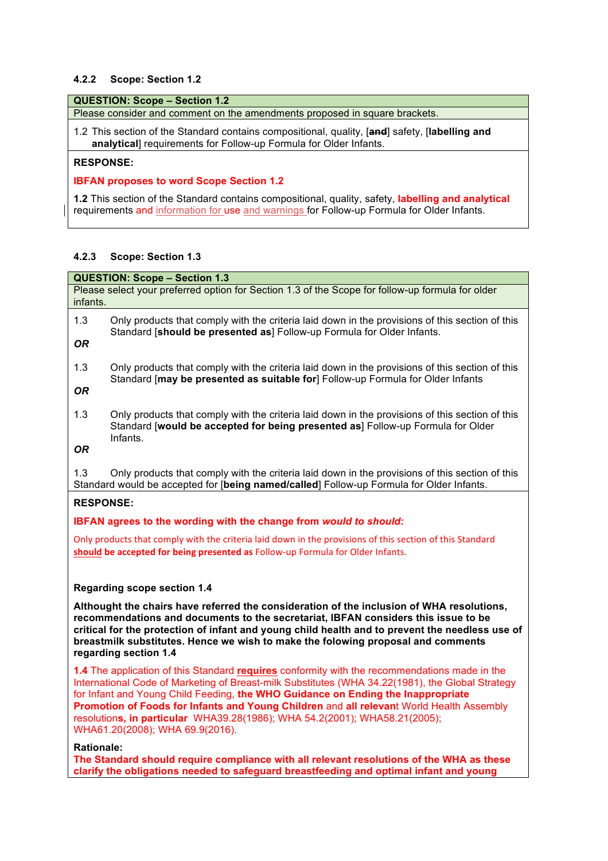#### **4.2.2 Scope: Section 1.2**

#### **QUESTION: Scope – Section 1.2**

Please consider and comment on the amendments proposed in square brackets.

1.2 This section of the Standard contains compositional, quality, [**and**] safety, [**labelling and analytical**] requirements for Follow-up Formula for Older Infants.

## **RESPONSE:**

#### **IBFAN proposes to word Scope Section 1.2**

**1.2** This section of the Standard contains compositional, quality, safety, **labelling and analytical**  requirements and information for use and warnings for Follow-up Formula for Older Infants.

## **4.2.3 Scope: Section 1.3**

**QUESTION: Scope – Section 1.3** Please select your preferred option for Section 1.3 of the Scope for follow-up formula for older infants. 1.3 Only products that comply with the criteria laid down in the provisions of this section of this Standard [**should be presented as**] Follow-up Formula for Older Infants. *OR* 1.3 Only products that comply with the criteria laid down in the provisions of this section of this Standard [**may be presented as suitable for**] Follow-up Formula for Older Infants *OR* 1.3 Only products that comply with the criteria laid down in the provisions of this section of this Standard [**would be accepted for being presented as**] Follow-up Formula for Older Infants. *OR* 1.3 Only products that comply with the criteria laid down in the provisions of this section of this Standard would be accepted for [**being named/called**] Follow-up Formula for Older Infants.

#### **RESPONSE:**

#### **IBFAN agrees to the wording with the change from** *would to should***:**

Only products that comply with the criteria laid down in the provisions of this section of this Standard **should be accepted for being presented as Follow-up Formula for Older Infants.** 

## **Regarding scope section 1.4**

**Althought the chairs have referred the consideration of the inclusion of WHA resolutions, recommendations and documents to the secretariat, IBFAN considers this issue to be critical for the protection of infant and young child health and to prevent the needless use of breastmilk substitutes. Hence we wish to make the folowing proposal and comments regarding section 1.4**

**1.4** The application of this Standard **requires** conformity with the recommendations made in the International Code of Marketing of Breast-milk Substitutes (WHA 34.22(1981), the Global Strategy for Infant and Young Child Feeding, **the WHO Guidance on Ending the Inappropriate Promotion of Foods for Infants and Young Children** and **all relevan**t World Health Assembly resolution**s, in particular** WHA39.28(1986); WHA 54.2(2001); WHA58.21(2005); WHA61.20(2008); WHA 69.9(2016).

#### **Rationale:**

**The Standard should require compliance with all relevant resolutions of the WHA as these clarify the obligations needed to safeguard breastfeeding and optimal infant and young**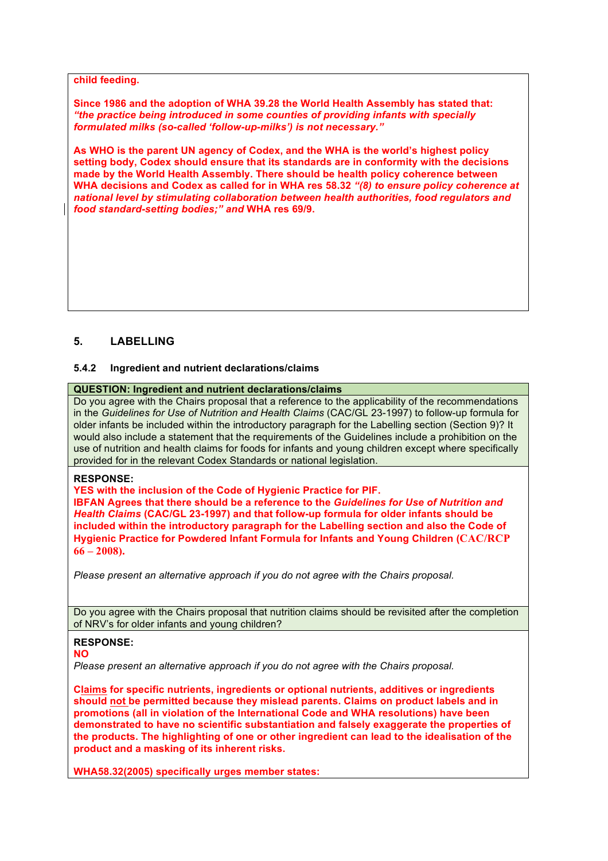#### **child feeding.**

**Since 1986 and the adoption of WHA 39.28 the World Health Assembly has stated that:** *"the practice being introduced in some counties of providing infants with specially formulated milks (so-called 'follow-up-milks') is not necessary."*

**As WHO is the parent UN agency of Codex, and the WHA is the world's highest policy setting body, Codex should ensure that its standards are in conformity with the decisions made by the World Health Assembly. There should be health policy coherence between WHA decisions and Codex as called for in WHA res 58.32** *"(8) to ensure policy coherence at national level by stimulating collaboration between health authorities, food regulators and food standard-setting bodies;" and* **WHA res 69/9.**

## **5. LABELLING**

#### **5.4.2 Ingredient and nutrient declarations/claims**

## **QUESTION: Ingredient and nutrient declarations/claims**

Do you agree with the Chairs proposal that a reference to the applicability of the recommendations in the *Guidelines for Use of Nutrition and Health Claims* (CAC/GL 23-1997) to follow-up formula for older infants be included within the introductory paragraph for the Labelling section (Section 9)? It would also include a statement that the requirements of the Guidelines include a prohibition on the use of nutrition and health claims for foods for infants and young children except where specifically provided for in the relevant Codex Standards or national legislation.

#### **RESPONSE:**

**YES with the inclusion of the Code of Hygienic Practice for PIF.**

**IBFAN Agrees that there should be a reference to the** *Guidelines for Use of Nutrition and Health Claims* **(CAC/GL 23-1997) and that follow-up formula for older infants should be included within the introductory paragraph for the Labelling section and also the Code of Hygienic Practice for Powdered Infant Formula for Infants and Young Children (CAC/RCP 66 – 2008).**

*Please present an alternative approach if you do not agree with the Chairs proposal.*

Do you agree with the Chairs proposal that nutrition claims should be revisited after the completion of NRV's for older infants and young children?

#### **RESPONSE:**

#### **NO**

*Please present an alternative approach if you do not agree with the Chairs proposal.*

**Claims for specific nutrients, ingredients or optional nutrients, additives or ingredients should not be permitted because they mislead parents. Claims on product labels and in promotions (all in violation of the International Code and WHA resolutions) have been demonstrated to have no scientific substantiation and falsely exaggerate the properties of the products. The highlighting of one or other ingredient can lead to the idealisation of the product and a masking of its inherent risks.**

**WHA58.32(2005) specifically urges member states:**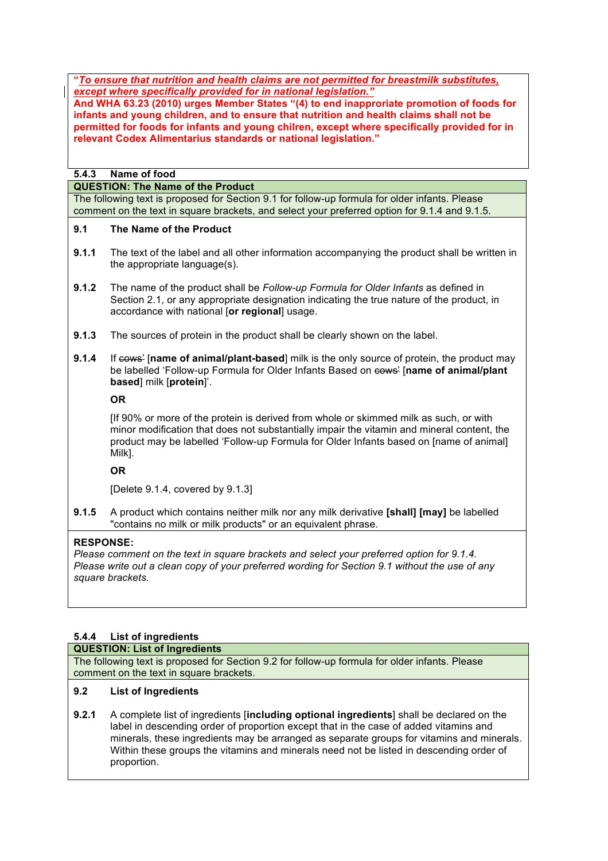**"***To ensure that nutrition and health claims are not permitted for breastmilk substitutes, except where specifically provided for in national legislation."* 

**And WHA 63.23 (2010) urges Member States "(4) to end inapproriate promotion of foods for infants and young children, and to ensure that nutrition and health claims shall not be permitted for foods for infants and young chilren, except where specifically provided for in relevant Codex Alimentarius standards or national legislation."** 

## **5.4.3 Name of food**

**QUESTION: The Name of the Product**

The following text is proposed for Section 9.1 for follow-up formula for older infants. Please comment on the text in square brackets, and select your preferred option for 9.1.4 and 9.1.5.

#### **9.1 The Name of the Product**

- **9.1.1** The text of the label and all other information accompanying the product shall be written in the appropriate language(s).
- **9.1.2** The name of the product shall be *Follow-up Formula for Older Infants* as defined in Section 2.1, or any appropriate designation indicating the true nature of the product, in accordance with national [**or regional**] usage.
- **9.1.3** The sources of protein in the product shall be clearly shown on the label.
- **9.1.4** If cows' [name of animal/plant-based] milk is the only source of protein, the product may be labelled 'Follow-up Formula for Older Infants Based on cows' [**name of animal/plant based**] milk [**protein**]'.

**OR**

[If 90% or more of the protein is derived from whole or skimmed milk as such, or with minor modification that does not substantially impair the vitamin and mineral content, the product may be labelled 'Follow-up Formula for Older Infants based on [name of animal] Milk].

**OR**

[Delete 9.1.4, covered by 9.1.3]

**9.1.5** A product which contains neither milk nor any milk derivative **[shall] [may]** be labelled "contains no milk or milk products" or an equivalent phrase.

## **RESPONSE:**

*Please comment on the text in square brackets and select your preferred option for 9.1.4. Please write out a clean copy of your preferred wording for Section 9.1 without the use of any square brackets.*

## **5.4.4 List of ingredients**

#### **QUESTION: List of Ingredients**

The following text is proposed for Section 9.2 for follow-up formula for older infants. Please comment on the text in square brackets.

## **9.2 List of Ingredients**

**9.2.1** A complete list of ingredients [**including optional ingredients**] shall be declared on the label in descending order of proportion except that in the case of added vitamins and minerals, these ingredients may be arranged as separate groups for vitamins and minerals. Within these groups the vitamins and minerals need not be listed in descending order of proportion.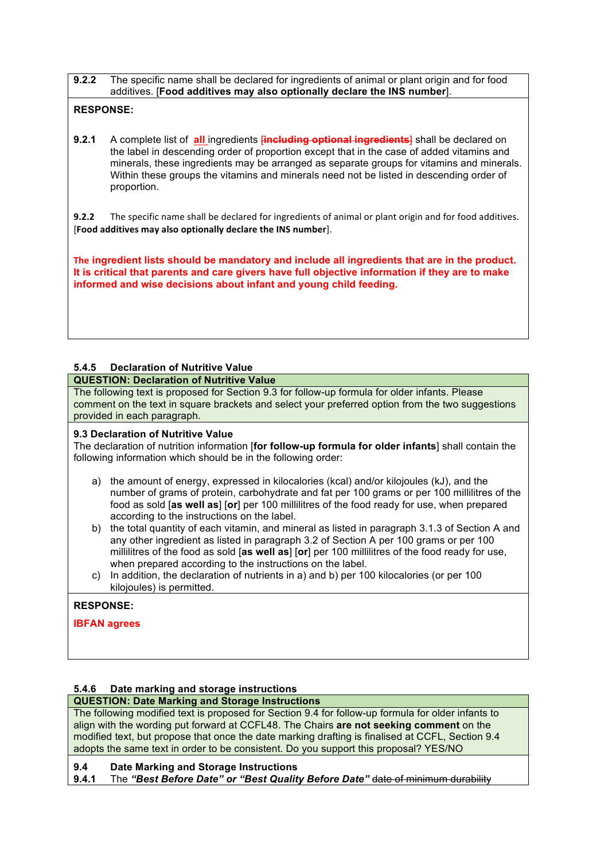**9.2.2** The specific name shall be declared for ingredients of animal or plant origin and for food additives. [**Food additives may also optionally declare the INS number**].

## **RESPONSE:**

**9.2.1** A complete list of **all** ingredients *[including optional ingredients]* shall be declared on the label in descending order of proportion except that in the case of added vitamins and minerals, these ingredients may be arranged as separate groups for vitamins and minerals. Within these groups the vitamins and minerals need not be listed in descending order of proportion.

**9.2.2** The specific name shall be declared for ingredients of animal or plant origin and for food additives. [**Food additives may also optionally declare the INS number**].

**The ingredient lists should be mandatory and include all ingredients that are in the product. It is critical that parents and care givers have full objective information if they are to make informed and wise decisions about infant and young child feeding.** 

## **5.4.5 Declaration of Nutritive Value**

## **QUESTION: Declaration of Nutritive Value**

The following text is proposed for Section 9.3 for follow-up formula for older infants. Please comment on the text in square brackets and select your preferred option from the two suggestions provided in each paragraph.

#### **9.3 Declaration of Nutritive Value**

The declaration of nutrition information [**for follow-up formula for older infants**] shall contain the following information which should be in the following order:

- a) the amount of energy, expressed in kilocalories (kcal) and/or kilojoules (kJ), and the number of grams of protein, carbohydrate and fat per 100 grams or per 100 millilitres of the food as sold [**as well as**] [**or**] per 100 millilitres of the food ready for use, when prepared according to the instructions on the label.
- b) the total quantity of each vitamin, and mineral as listed in paragraph 3.1.3 of Section A and any other ingredient as listed in paragraph 3.2 of Section A per 100 grams or per 100 millilitres of the food as sold [**as well as**] [**or**] per 100 millilitres of the food ready for use, when prepared according to the instructions on the label.
- c) In addition, the declaration of nutrients in a) and b) per 100 kilocalories (or per 100 kilojoules) is permitted.

## **RESPONSE:**

**IBFAN agrees**

## **5.4.6 Date marking and storage instructions**

# **QUESTION: Date Marking and Storage Instructions**

The following modified text is proposed for Section 9.4 for follow-up formula for older infants to align with the wording put forward at CCFL48. The Chairs **are not seeking comment** on the modified text, but propose that once the date marking drafting is finalised at CCFL, Section 9.4 adopts the same text in order to be consistent. Do you support this proposal? YES/NO

## **9.4 Date Marking and Storage Instructions**

**9.4.1** The *"Best Before Date" or "Best Quality Before Date"* date of minimum durability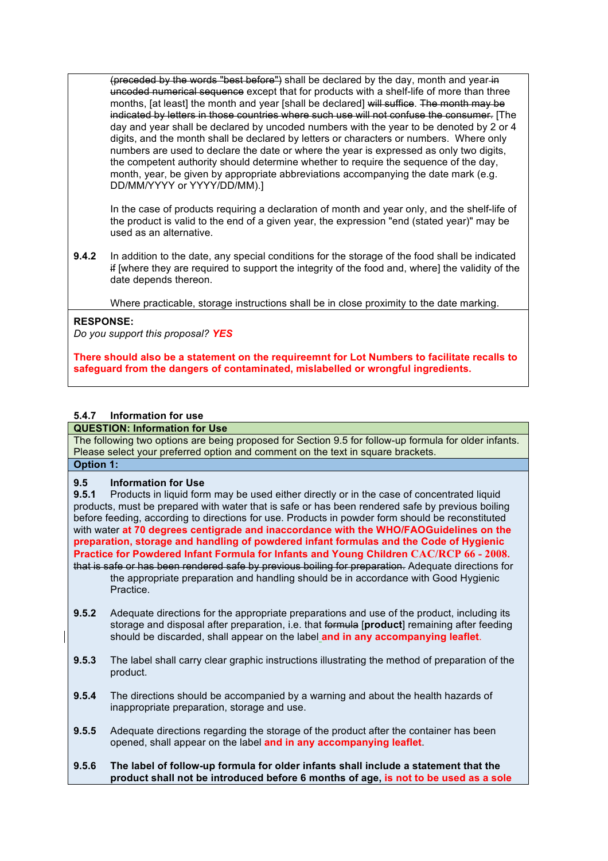(preceded by the words "best before") shall be declared by the day, month and year in uncoded numerical sequence except that for products with a shelf-life of more than three months, [at least] the month and year [shall be declared] will suffice. The month may be indicated by letters in those countries where such use will not confuse the consumer. [The day and year shall be declared by uncoded numbers with the year to be denoted by 2 or 4 digits, and the month shall be declared by letters or characters or numbers. Where only numbers are used to declare the date or where the year is expressed as only two digits, the competent authority should determine whether to require the sequence of the day, month, year, be given by appropriate abbreviations accompanying the date mark (e.g. DD/MM/YYYY or YYYY/DD/MM).]

In the case of products requiring a declaration of month and year only, and the shelf-life of the product is valid to the end of a given year, the expression "end (stated year)" may be used as an alternative.

**9.4.2** In addition to the date, any special conditions for the storage of the food shall be indicated if [where they are required to support the integrity of the food and, where] the validity of the date depends thereon.

Where practicable, storage instructions shall be in close proximity to the date marking.

## **RESPONSE:**

*Do you support this proposal? YES*

**There should also be a statement on the requireemnt for Lot Numbers to facilitate recalls to safeguard from the dangers of contaminated, mislabelled or wrongful ingredients.** 

## **5.4.7 Information for use**

#### **QUESTION: Information for Use**

The following two options are being proposed for Section 9.5 for follow-up formula for older infants. Please select your preferred option and comment on the text in square brackets. **Option 1:**

# **9.5 Information for Use**

**9.5.1** Products in liquid form may be used either directly or in the case of concentrated liquid products, must be prepared with water that is safe or has been rendered safe by previous boiling before feeding, according to directions for use. Products in powder form should be reconstituted with water **at 70 degrees centigrade and inaccordance with the WHO/FAOGuidelines on the preparation, storage and handling of powdered infant formulas and the Code of Hygienic Practice for Powdered Infant Formula for Infants and Young Children CAC/RCP 66 - 2008.** that is safe or has been rendered safe by previous boiling for preparation. Adequate directions for the appropriate preparation and handling should be in accordance with Good Hygienic **Practice** 

- **9.5.2** Adequate directions for the appropriate preparations and use of the product, including its storage and disposal after preparation, i.e. that formula [**product**] remaining after feeding should be discarded, shall appear on the label **and in any accompanying leaflet**.
- **9.5.3** The label shall carry clear graphic instructions illustrating the method of preparation of the product.
- **9.5.4** The directions should be accompanied by a warning and about the health hazards of inappropriate preparation, storage and use.
- **9.5.5** Adequate directions regarding the storage of the product after the container has been opened, shall appear on the label **and in any accompanying leaflet**.
- **9.5.6 The label of follow-up formula for older infants shall include a statement that the product shall not be introduced before 6 months of age, is not to be used as a sole**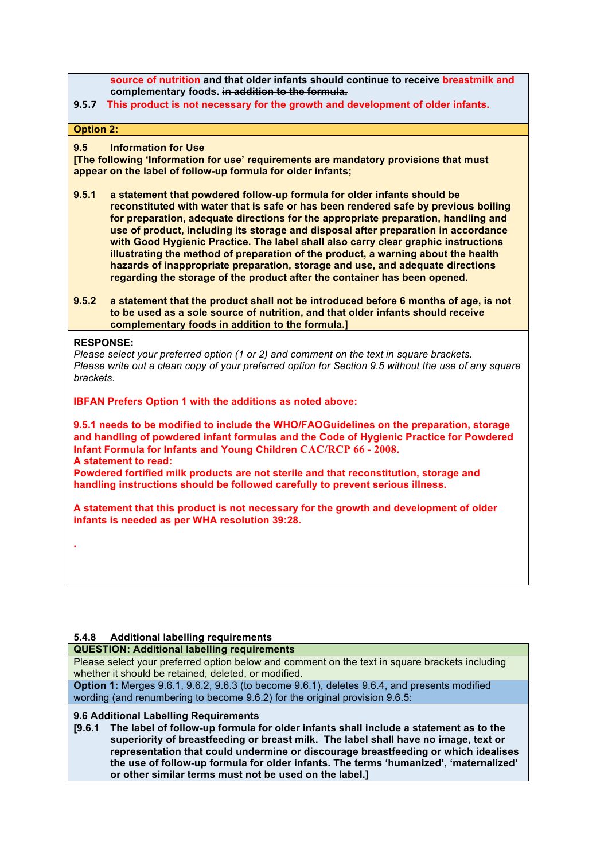**source of nutrition and that older infants should continue to receive breastmilk and complementary foods. in addition to the formula.**

#### 9.5.7 This product is not necessary for the growth and development of older infants.

**Option 2:**

#### **9.5 Information for Use**

**[The following 'Information for use' requirements are mandatory provisions that must appear on the label of follow-up formula for older infants;** 

- **9.5.1 a statement that powdered follow-up formula for older infants should be reconstituted with water that is safe or has been rendered safe by previous boiling for preparation, adequate directions for the appropriate preparation, handling and use of product, including its storage and disposal after preparation in accordance with Good Hygienic Practice. The label shall also carry clear graphic instructions illustrating the method of preparation of the product, a warning about the health hazards of inappropriate preparation, storage and use, and adequate directions regarding the storage of the product after the container has been opened.**
- **9.5.2 a statement that the product shall not be introduced before 6 months of age, is not to be used as a sole source of nutrition, and that older infants should receive complementary foods in addition to the formula.]**

#### **RESPONSE:**

**.**

*Please select your preferred option (1 or 2) and comment on the text in square brackets. Please write out a clean copy of your preferred option for Section 9.5 without the use of any square brackets.*

**IBFAN Prefers Option 1 with the additions as noted above:**

**9.5.1 needs to be modified to include the WHO/FAOGuidelines on the preparation, storage and handling of powdered infant formulas and the Code of Hygienic Practice for Powdered Infant Formula for Infants and Young Children CAC/RCP 66 - 2008. A statement to read:** 

**Powdered fortified milk products are not sterile and that reconstitution, storage and handling instructions should be followed carefully to prevent serious illness.**

**A statement that this product is not necessary for the growth and development of older infants is needed as per WHA resolution 39:28.**

## **5.4.8 Additional labelling requirements**

#### **QUESTION: Additional labelling requirements**

Please select your preferred option below and comment on the text in square brackets including whether it should be retained, deleted, or modified.

**Option 1:** Merges 9.6.1, 9.6.2, 9.6.3 (to become 9.6.1), deletes 9.6.4, and presents modified wording (and renumbering to become 9.6.2) for the original provision 9.6.5:

#### **9.6 Additional Labelling Requirements**

**[9.6.1 The label of follow-up formula for older infants shall include a statement as to the superiority of breastfeeding or breast milk. The label shall have no image, text or representation that could undermine or discourage breastfeeding or which idealises the use of follow-up formula for older infants. The terms 'humanized', 'maternalized' or other similar terms must not be used on the label.]**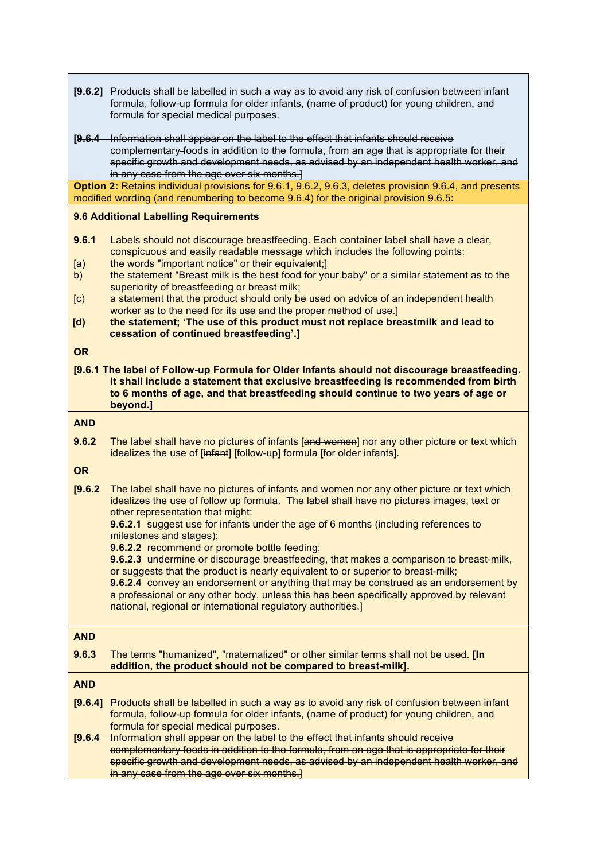|                                                                                              | [9.6.2] Products shall be labelled in such a way as to avoid any risk of confusion between infant<br>formula, follow-up formula for older infants, (name of product) for young children, and<br>formula for special medical purposes.                                                                                       |
|----------------------------------------------------------------------------------------------|-----------------------------------------------------------------------------------------------------------------------------------------------------------------------------------------------------------------------------------------------------------------------------------------------------------------------------|
|                                                                                              | [9.6.4 Information shall appear on the label to the effect that infants should receive<br>complementary foods in addition to the formula, from an age that is appropriate for their<br>specific growth and development needs, as advised by an independent health worker, and<br>in any case from the age over six months.] |
|                                                                                              | Option 2: Retains individual provisions for 9.6.1, 9.6.2, 9.6.3, deletes provision 9.6.4, and presents                                                                                                                                                                                                                      |
| modified wording (and renumbering to become 9.6.4) for the original provision 9.6.5:         |                                                                                                                                                                                                                                                                                                                             |
|                                                                                              | 9.6 Additional Labelling Requirements                                                                                                                                                                                                                                                                                       |
| 9.6.1                                                                                        | Labels should not discourage breastfeeding. Each container label shall have a clear,<br>conspicuous and easily readable message which includes the following points:                                                                                                                                                        |
| [a)<br>b)                                                                                    | the words "important notice" or their equivalent;]<br>the statement "Breast milk is the best food for your baby" or a similar statement as to the                                                                                                                                                                           |
|                                                                                              | superiority of breastfeeding or breast milk;                                                                                                                                                                                                                                                                                |
| $\left[ \text{c} \right)$                                                                    | a statement that the product should only be used on advice of an independent health                                                                                                                                                                                                                                         |
|                                                                                              | worker as to the need for its use and the proper method of use.]<br>the statement; 'The use of this product must not replace breastmilk and lead to                                                                                                                                                                         |
| [d]                                                                                          | cessation of continued breastfeeding'.]                                                                                                                                                                                                                                                                                     |
| <b>OR</b>                                                                                    |                                                                                                                                                                                                                                                                                                                             |
| [9.6.1 The label of Follow-up Formula for Older Infants should not discourage breastfeeding. |                                                                                                                                                                                                                                                                                                                             |
|                                                                                              | It shall include a statement that exclusive breastfeeding is recommended from birth                                                                                                                                                                                                                                         |
|                                                                                              | to 6 months of age, and that breastfeeding should continue to two years of age or                                                                                                                                                                                                                                           |
|                                                                                              | beyond.]                                                                                                                                                                                                                                                                                                                    |
| <b>AND</b>                                                                                   |                                                                                                                                                                                                                                                                                                                             |
| 9.6.2                                                                                        | The label shall have no pictures of infants [and women] nor any other picture or text which<br>idealizes the use of [infant] [follow-up] formula [for older infants].                                                                                                                                                       |
| <b>OR</b>                                                                                    |                                                                                                                                                                                                                                                                                                                             |
| [9.6.2]                                                                                      | The label shall have no pictures of infants and women nor any other picture or text which<br>idealizes the use of follow up formula. The label shall have no pictures images, text or<br>other representation that might:<br>9.6.2.1 suggest use for infants under the age of 6 months (including references to             |
|                                                                                              | milestones and stages);                                                                                                                                                                                                                                                                                                     |
|                                                                                              | 9.6.2.2 recommend or promote bottle feeding;                                                                                                                                                                                                                                                                                |
|                                                                                              | 9.6.2.3 undermine or discourage breastfeeding, that makes a comparison to breast-milk,<br>or suggests that the product is nearly equivalent to or superior to breast-milk;                                                                                                                                                  |
|                                                                                              | 9.6.2.4 convey an endorsement or anything that may be construed as an endorsement by                                                                                                                                                                                                                                        |
|                                                                                              | a professional or any other body, unless this has been specifically approved by relevant                                                                                                                                                                                                                                    |
|                                                                                              | national, regional or international regulatory authorities.]                                                                                                                                                                                                                                                                |
| <b>AND</b>                                                                                   |                                                                                                                                                                                                                                                                                                                             |
|                                                                                              |                                                                                                                                                                                                                                                                                                                             |
| 9.6.3                                                                                        | The terms "humanized", "maternalized" or other similar terms shall not be used. [In<br>addition, the product should not be compared to breast-milk].                                                                                                                                                                        |
| <b>AND</b>                                                                                   |                                                                                                                                                                                                                                                                                                                             |
|                                                                                              |                                                                                                                                                                                                                                                                                                                             |
|                                                                                              | [9.6.4]<br>Products shall be labelled in such a way as to avoid any risk of confusion between infant<br>formula, follow-up formula for older infants, (name of product) for young children, and                                                                                                                             |
|                                                                                              | formula for special medical purposes.                                                                                                                                                                                                                                                                                       |
|                                                                                              | Information shall appear on the label to the effect that infants should receive<br>[9.6.4]                                                                                                                                                                                                                                  |
|                                                                                              | complementary foods in addition to the formula, from an age that is appropriate for their<br>specific growth and development needs, as advised by an independent health worker, and                                                                                                                                         |
|                                                                                              | in any case from the age over six months.]                                                                                                                                                                                                                                                                                  |
|                                                                                              |                                                                                                                                                                                                                                                                                                                             |